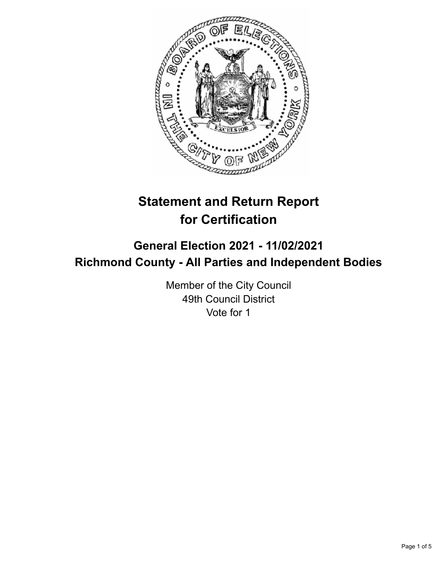

# **Statement and Return Report for Certification**

# **General Election 2021 - 11/02/2021 Richmond County - All Parties and Independent Bodies**

Member of the City Council 49th Council District Vote for 1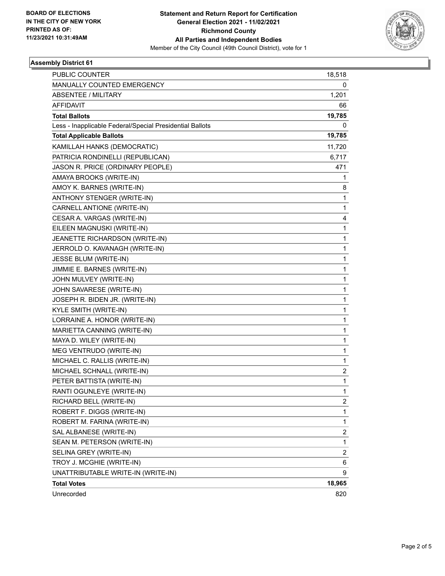

## **Assembly District 61**

| Unrecorded                                                           | 820                     |
|----------------------------------------------------------------------|-------------------------|
| <b>Total Votes</b>                                                   | 18,965                  |
| UNATTRIBUTABLE WRITE-IN (WRITE-IN)                                   | 9                       |
| TROY J. MCGHIE (WRITE-IN)                                            | 6                       |
| SELINA GREY (WRITE-IN)                                               | $\overline{\mathbf{c}}$ |
| SEAN M. PETERSON (WRITE-IN)                                          | $\mathbf 1$             |
| SAL ALBANESE (WRITE-IN)                                              | 2                       |
| ROBERT M. FARINA (WRITE-IN)                                          | $\mathbf 1$             |
| RICHARD BELL (WRITE-IN)<br>ROBERT F. DIGGS (WRITE-IN)                | 2<br>$\mathbf{1}$       |
|                                                                      |                         |
| RANTI OGUNLEYE (WRITE-IN)                                            | 1                       |
| MICHAEL SCHNALL (WRITE-IN)<br>PETER BATTISTA (WRITE-IN)              | 2<br>$\mathbf{1}$       |
| MICHAEL C. RALLIS (WRITE-IN)                                         |                         |
| MEG VENTRUDO (WRITE-IN)                                              | 1<br>$\mathbf 1$        |
| MAYA D. WILEY (WRITE-IN)                                             |                         |
| MARIETTA CANNING (WRITE-IN)                                          | 1                       |
|                                                                      | $\mathbf 1$             |
| LORRAINE A. HONOR (WRITE-IN)                                         | $\mathbf 1$             |
| JOSEPH R. BIDEN JR. (WRITE-IN)<br>KYLE SMITH (WRITE-IN)              | 1                       |
| JOHN SAVARESE (WRITE-IN)                                             | $\mathbf 1$             |
|                                                                      | 1                       |
| JOHN MULVEY (WRITE-IN)                                               | 1                       |
| JIMMIE E. BARNES (WRITE-IN)                                          | $\mathbf 1$             |
| JESSE BLUM (WRITE-IN)                                                | $\mathbf 1$             |
| JERROLD O. KAVANAGH (WRITE-IN)                                       | 1                       |
| JEANETTE RICHARDSON (WRITE-IN)                                       | $\mathbf{1}$            |
| EILEEN MAGNUSKI (WRITE-IN)                                           | $\mathbf{1}$            |
| CESAR A. VARGAS (WRITE-IN)                                           | 4                       |
| CARNELL ANTIONE (WRITE-IN)                                           | $\mathbf{1}$            |
| ANTHONY STENGER (WRITE-IN)                                           | $\mathbf{1}$            |
| AMOY K. BARNES (WRITE-IN)                                            | 8                       |
| AMAYA BROOKS (WRITE-IN)                                              | 1                       |
| PATRICIA RONDINELLI (REPUBLICAN)<br>JASON R. PRICE (ORDINARY PEOPLE) | 6,717<br>471            |
|                                                                      |                         |
| KAMILLAH HANKS (DEMOCRATIC)                                          | 11,720                  |
| <b>Total Applicable Ballots</b>                                      | 19,785                  |
| Less - Inapplicable Federal/Special Presidential Ballots             | 0                       |
| <b>Total Ballots</b>                                                 | 19,785                  |
| AFFIDAVIT                                                            | 66                      |
| <b>ABSENTEE / MILITARY</b>                                           | 1,201                   |
| MANUALLY COUNTED EMERGENCY                                           | 0                       |
| <b>PUBLIC COUNTER</b>                                                | 18,518                  |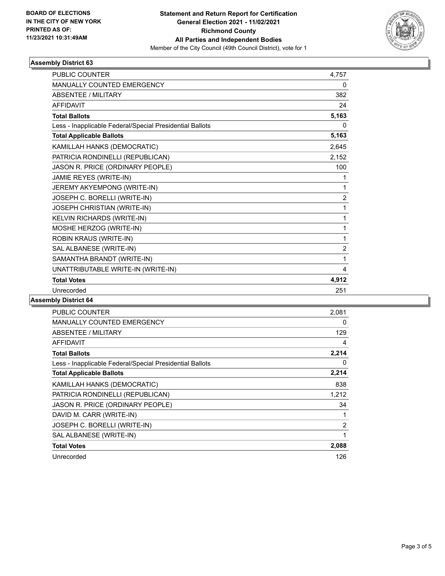

## **Assembly District 63**

| <b>PUBLIC COUNTER</b>                                    | 4.757          |
|----------------------------------------------------------|----------------|
| <b>MANUALLY COUNTED EMERGENCY</b>                        | 0              |
| <b>ABSENTEE / MILITARY</b>                               | 382            |
| <b>AFFIDAVIT</b>                                         | 24             |
| <b>Total Ballots</b>                                     | 5,163          |
| Less - Inapplicable Federal/Special Presidential Ballots | 0              |
| <b>Total Applicable Ballots</b>                          | 5,163          |
| KAMILLAH HANKS (DEMOCRATIC)                              | 2,645          |
| PATRICIA RONDINELLI (REPUBLICAN)                         | 2,152          |
| JASON R. PRICE (ORDINARY PEOPLE)                         | 100            |
| JAMIE REYES (WRITE-IN)                                   | 1              |
| JEREMY AKYEMPONG (WRITE-IN)                              | 1              |
| JOSEPH C. BORELLI (WRITE-IN)                             | $\overline{c}$ |
| JOSEPH CHRISTIAN (WRITE-IN)                              | 1              |
| KELVIN RICHARDS (WRITE-IN)                               | $\mathbf 1$    |
| MOSHE HERZOG (WRITE-IN)                                  | 1              |
| ROBIN KRAUS (WRITE-IN)                                   | 1              |
| SAL ALBANESE (WRITE-IN)                                  | $\overline{c}$ |
| SAMANTHA BRANDT (WRITE-IN)                               | 1              |
| UNATTRIBUTABLE WRITE-IN (WRITE-IN)                       | 4              |
| <b>Total Votes</b>                                       | 4,912          |
| Unrecorded                                               | 251            |

#### **Assembly District 64**

| <b>PUBLIC COUNTER</b>                                    | 2,081          |
|----------------------------------------------------------|----------------|
| <b>MANUALLY COUNTED EMERGENCY</b>                        | 0              |
| ABSENTEE / MILITARY                                      | 129            |
| <b>AFFIDAVIT</b>                                         | 4              |
| <b>Total Ballots</b>                                     | 2,214          |
| Less - Inapplicable Federal/Special Presidential Ballots | 0              |
| <b>Total Applicable Ballots</b>                          | 2,214          |
| KAMILLAH HANKS (DEMOCRATIC)                              | 838            |
| PATRICIA RONDINELLI (REPUBLICAN)                         | 1,212          |
| JASON R. PRICE (ORDINARY PEOPLE)                         | 34             |
| DAVID M. CARR (WRITE-IN)                                 | 1              |
| JOSEPH C. BORELLI (WRITE-IN)                             | $\overline{2}$ |
| SAL ALBANESE (WRITE-IN)                                  | 1              |
| <b>Total Votes</b>                                       | 2,088          |
| Unrecorded                                               | 126            |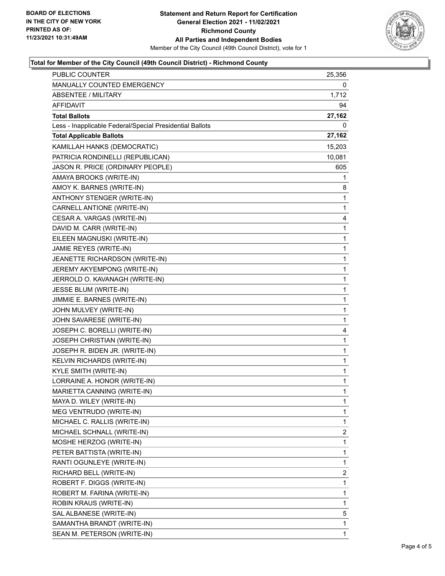

## **Total for Member of the City Council (49th Council District) - Richmond County**

| <b>PUBLIC COUNTER</b>                                    | 25,356 |
|----------------------------------------------------------|--------|
| MANUALLY COUNTED EMERGENCY                               | 0      |
| <b>ABSENTEE / MILITARY</b>                               | 1,712  |
| AFFIDAVIT                                                | 94     |
| <b>Total Ballots</b>                                     | 27,162 |
| Less - Inapplicable Federal/Special Presidential Ballots | 0      |
| <b>Total Applicable Ballots</b>                          | 27,162 |
| KAMILLAH HANKS (DEMOCRATIC)                              | 15,203 |
| PATRICIA RONDINELLI (REPUBLICAN)                         | 10,081 |
| JASON R. PRICE (ORDINARY PEOPLE)                         | 605    |
| AMAYA BROOKS (WRITE-IN)                                  | 1      |
| AMOY K. BARNES (WRITE-IN)                                | 8      |
| ANTHONY STENGER (WRITE-IN)                               | 1      |
| CARNELL ANTIONE (WRITE-IN)                               | 1      |
| CESAR A. VARGAS (WRITE-IN)                               | 4      |
| DAVID M. CARR (WRITE-IN)                                 | 1      |
| EILEEN MAGNUSKI (WRITE-IN)                               | 1      |
| JAMIE REYES (WRITE-IN)                                   | 1      |
| JEANETTE RICHARDSON (WRITE-IN)                           | 1      |
| JEREMY AKYEMPONG (WRITE-IN)                              | 1      |
| JERROLD O. KAVANAGH (WRITE-IN)                           | 1      |
| JESSE BLUM (WRITE-IN)                                    | 1      |
| JIMMIE E. BARNES (WRITE-IN)                              | 1      |
| JOHN MULVEY (WRITE-IN)                                   | 1      |
| JOHN SAVARESE (WRITE-IN)                                 | 1      |
| JOSEPH C. BORELLI (WRITE-IN)                             | 4      |
| JOSEPH CHRISTIAN (WRITE-IN)                              | 1      |
| JOSEPH R. BIDEN JR. (WRITE-IN)                           | 1      |
| KELVIN RICHARDS (WRITE-IN)                               | 1      |
| <b>KYLE SMITH (WRITE-IN)</b>                             | 1      |
| LORRAINE A. HONOR (WRITE-IN)                             | 1      |
| MARIETTA CANNING (WRITE-IN)                              | 1      |
| MAYA D. WILEY (WRITE-IN)                                 | 1      |
| MEG VENTRUDO (WRITE-IN)                                  | 1      |
| MICHAEL C. RALLIS (WRITE-IN)                             | 1      |
| MICHAEL SCHNALL (WRITE-IN)                               | 2      |
| MOSHE HERZOG (WRITE-IN)                                  | 1      |
| PETER BATTISTA (WRITE-IN)                                | 1      |
| RANTI OGUNLEYE (WRITE-IN)                                | 1      |
| RICHARD BELL (WRITE-IN)                                  | 2      |
| ROBERT F. DIGGS (WRITE-IN)                               | 1      |
| ROBERT M. FARINA (WRITE-IN)                              | 1      |
| ROBIN KRAUS (WRITE-IN)                                   | 1      |
| SAL ALBANESE (WRITE-IN)                                  | 5      |
| SAMANTHA BRANDT (WRITE-IN)                               | 1      |
| SEAN M. PETERSON (WRITE-IN)                              | 1      |